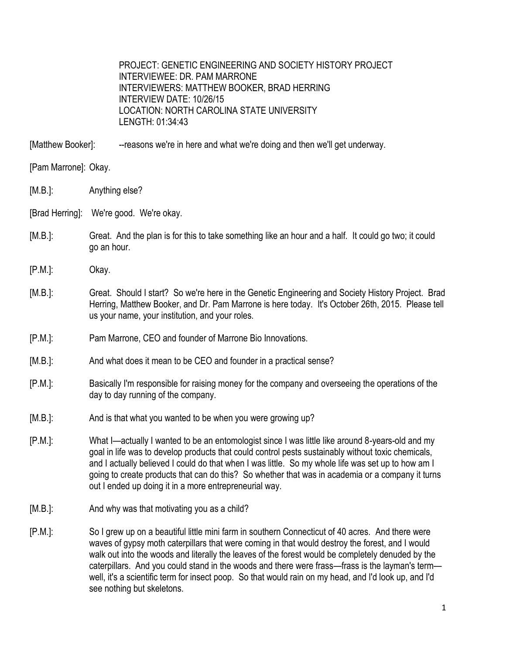PROJECT: GENETIC ENGINEERING AND SOCIETY HISTORY PROJECT INTERVIEWEE: DR. PAM MARRONE INTERVIEWERS: MATTHEW BOOKER, BRAD HERRING INTERVIEW DATE: 10/26/15 LOCATION: NORTH CAROLINA STATE UNIVERSITY LENGTH: 01:34:43

[Matthew Booker]: ---reasons we're in here and what we're doing and then we'll get underway.

[Pam Marrone]: Okay.

[M.B.]: Anything else?

[Brad Herring]: We're good. We're okay.

- [M.B.]: Great. And the plan is for this to take something like an hour and a half. It could go two; it could go an hour.
- [P.M.]: Okay.
- [M.B.]: Great. Should I start? So we're here in the Genetic Engineering and Society History Project. Brad Herring, Matthew Booker, and Dr. Pam Marrone is here today. It's October 26th, 2015. Please tell us your name, your institution, and your roles.
- [P.M.]: Pam Marrone, CEO and founder of Marrone Bio Innovations.
- [M.B.]: And what does it mean to be CEO and founder in a practical sense?
- [P.M.]: Basically I'm responsible for raising money for the company and overseeing the operations of the day to day running of the company.
- [M.B.]: And is that what you wanted to be when you were growing up?
- [P.M.]: What I—actually I wanted to be an entomologist since I was little like around 8-years-old and my goal in life was to develop products that could control pests sustainably without toxic chemicals, and I actually believed I could do that when I was little. So my whole life was set up to how am I going to create products that can do this? So whether that was in academia or a company it turns out I ended up doing it in a more entrepreneurial way.
- [M.B.]: And why was that motivating you as a child?
- [P.M.]: So I grew up on a beautiful little mini farm in southern Connecticut of 40 acres. And there were waves of gypsy moth caterpillars that were coming in that would destroy the forest, and I would walk out into the woods and literally the leaves of the forest would be completely denuded by the caterpillars. And you could stand in the woods and there were frass—frass is the layman's term well, it's a scientific term for insect poop. So that would rain on my head, and I'd look up, and I'd see nothing but skeletons.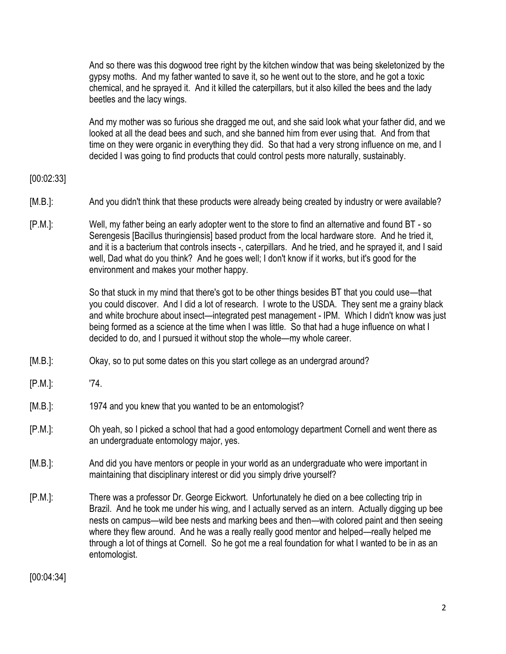And so there was this dogwood tree right by the kitchen window that was being skeletonized by the gypsy moths. And my father wanted to save it, so he went out to the store, and he got a toxic chemical, and he sprayed it. And it killed the caterpillars, but it also killed the bees and the lady beetles and the lacy wings.

And my mother was so furious she dragged me out, and she said look what your father did, and we looked at all the dead bees and such, and she banned him from ever using that. And from that time on they were organic in everything they did. So that had a very strong influence on me, and I decided I was going to find products that could control pests more naturally, sustainably.

### [00:02:33]

- [M.B.]: And you didn't think that these products were already being created by industry or were available?
- [P.M.]: Well, my father being an early adopter went to the store to find an alternative and found BT so Serengesis [Bacillus thuringiensis] based product from the local hardware store. And he tried it, and it is a bacterium that controls insects -, caterpillars. And he tried, and he sprayed it, and I said well, Dad what do you think? And he goes well; I don't know if it works, but it's good for the environment and makes your mother happy.

So that stuck in my mind that there's got to be other things besides BT that you could use—that you could discover. And I did a lot of research. I wrote to the USDA. They sent me a grainy black and white brochure about insect—integrated pest management - IPM. Which I didn't know was just being formed as a science at the time when I was little. So that had a huge influence on what I decided to do, and I pursued it without stop the whole—my whole career.

- [M.B.]: Okay, so to put some dates on this you start college as an undergrad around?
- [P.M.]: '74.
- [M.B.]: 1974 and you knew that you wanted to be an entomologist?
- [P.M.]: Oh yeah, so I picked a school that had a good entomology department Cornell and went there as an undergraduate entomology major, yes.
- [M.B.]: And did you have mentors or people in your world as an undergraduate who were important in maintaining that disciplinary interest or did you simply drive yourself?
- [P.M.]: There was a professor Dr. George Eickwort. Unfortunately he died on a bee collecting trip in Brazil. And he took me under his wing, and I actually served as an intern. Actually digging up bee nests on campus—wild bee nests and marking bees and then—with colored paint and then seeing where they flew around. And he was a really really good mentor and helped—really helped me through a lot of things at Cornell. So he got me a real foundation for what I wanted to be in as an entomologist.

[00:04:34]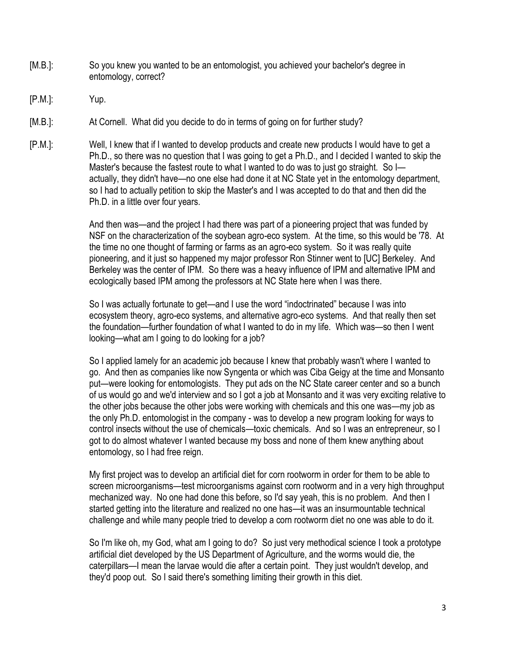- [M.B.]: So you knew you wanted to be an entomologist, you achieved your bachelor's degree in entomology, correct?
- [P.M.]: Yup.
- [M.B.]: At Cornell. What did you decide to do in terms of going on for further study?
- [P.M.]: Well, I knew that if I wanted to develop products and create new products I would have to get a Ph.D., so there was no question that I was going to get a Ph.D., and I decided I wanted to skip the Master's because the fastest route to what I wanted to do was to just go straight. So Iactually, they didn't have—no one else had done it at NC State yet in the entomology department, so I had to actually petition to skip the Master's and I was accepted to do that and then did the Ph.D. in a little over four years.

And then was—and the project I had there was part of a pioneering project that was funded by NSF on the characterization of the soybean agro-eco system. At the time, so this would be '78. At the time no one thought of farming or farms as an agro-eco system. So it was really quite pioneering, and it just so happened my major professor Ron Stinner went to [UC] Berkeley. And Berkeley was the center of IPM. So there was a heavy influence of IPM and alternative IPM and ecologically based IPM among the professors at NC State here when I was there.

So I was actually fortunate to get—and I use the word "indoctrinated" because I was into ecosystem theory, agro-eco systems, and alternative agro-eco systems. And that really then set the foundation—further foundation of what I wanted to do in my life. Which was—so then I went looking—what am I going to do looking for a job?

So I applied lamely for an academic job because I knew that probably wasn't where I wanted to go. And then as companies like now Syngenta or which was Ciba Geigy at the time and Monsanto put—were looking for entomologists. They put ads on the NC State career center and so a bunch of us would go and we'd interview and so I got a job at Monsanto and it was very exciting relative to the other jobs because the other jobs were working with chemicals and this one was—my job as the only Ph.D. entomologist in the company - was to develop a new program looking for ways to control insects without the use of chemicals—toxic chemicals. And so I was an entrepreneur, so I got to do almost whatever I wanted because my boss and none of them knew anything about entomology, so I had free reign.

My first project was to develop an artificial diet for corn rootworm in order for them to be able to screen microorganisms—test microorganisms against corn rootworm and in a very high throughput mechanized way. No one had done this before, so I'd say yeah, this is no problem. And then I started getting into the literature and realized no one has—it was an insurmountable technical challenge and while many people tried to develop a corn rootworm diet no one was able to do it.

So I'm like oh, my God, what am I going to do? So just very methodical science I took a prototype artificial diet developed by the US Department of Agriculture, and the worms would die, the caterpillars—I mean the larvae would die after a certain point. They just wouldn't develop, and they'd poop out. So I said there's something limiting their growth in this diet.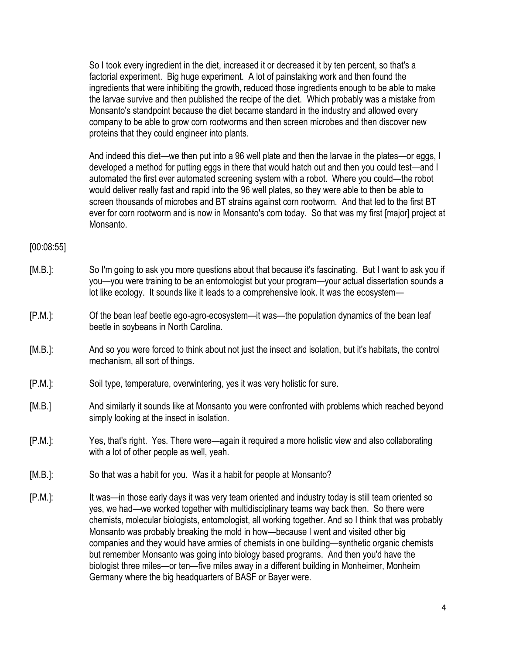So I took every ingredient in the diet, increased it or decreased it by ten percent, so that's a factorial experiment. Big huge experiment. A lot of painstaking work and then found the ingredients that were inhibiting the growth, reduced those ingredients enough to be able to make the larvae survive and then published the recipe of the diet. Which probably was a mistake from Monsanto's standpoint because the diet became standard in the industry and allowed every company to be able to grow corn rootworms and then screen microbes and then discover new proteins that they could engineer into plants.

And indeed this diet—we then put into a 96 well plate and then the larvae in the plates—or eggs, I developed a method for putting eggs in there that would hatch out and then you could test—and I automated the first ever automated screening system with a robot. Where you could—the robot would deliver really fast and rapid into the 96 well plates, so they were able to then be able to screen thousands of microbes and BT strains against corn rootworm. And that led to the first BT ever for corn rootworm and is now in Monsanto's corn today. So that was my first [major] project at Monsanto.

[00:08:55]

- [M.B.]: So I'm going to ask you more questions about that because it's fascinating. But I want to ask you if you—you were training to be an entomologist but your program—your actual dissertation sounds a lot like ecology. It sounds like it leads to a comprehensive look. It was the ecosystem—
- [P.M.]: Of the bean leaf beetle ego-agro-ecosystem—it was—the population dynamics of the bean leaf beetle in soybeans in North Carolina.
- [M.B.]: And so you were forced to think about not just the insect and isolation, but it's habitats, the control mechanism, all sort of things.
- [P.M.]: Soil type, temperature, overwintering, yes it was very holistic for sure.
- [M.B.] And similarly it sounds like at Monsanto you were confronted with problems which reached beyond simply looking at the insect in isolation.
- [P.M.]: Yes, that's right. Yes. There were—again it required a more holistic view and also collaborating with a lot of other people as well, yeah.
- [M.B.]: So that was a habit for you. Was it a habit for people at Monsanto?
- [P.M.]: It was—in those early days it was very team oriented and industry today is still team oriented so yes, we had—we worked together with multidisciplinary teams way back then. So there were chemists, molecular biologists, entomologist, all working together. And so I think that was probably Monsanto was probably breaking the mold in how—because I went and visited other big companies and they would have armies of chemists in one building—synthetic organic chemists but remember Monsanto was going into biology based programs. And then you'd have the biologist three miles—or ten—five miles away in a different building in Monheimer, Monheim Germany where the big headquarters of BASF or Bayer were.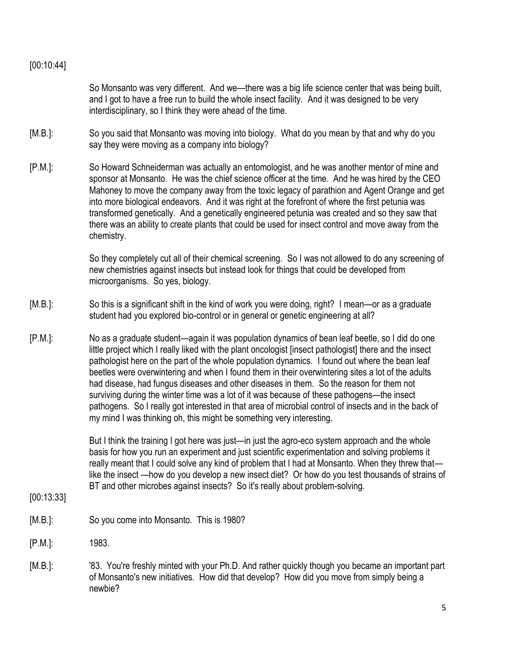# [00:10:44]

So Monsanto was very different. And we—there was a big life science center that was being built, and I got to have a free run to build the whole insect facility. And it was designed to be very interdisciplinary, so I think they were ahead of the time.

- [M.B.]: So you said that Monsanto was moving into biology. What do you mean by that and why do you say they were moving as a company into biology?
- [P.M.]: So Howard Schneiderman was actually an entomologist, and he was another mentor of mine and sponsor at Monsanto. He was the chief science officer at the time. And he was hired by the CEO Mahoney to move the company away from the toxic legacy of parathion and Agent Orange and get into more biological endeavors. And it was right at the forefront of where the first petunia was transformed genetically. And a genetically engineered petunia was created and so they saw that there was an ability to create plants that could be used for insect control and move away from the chemistry.

So they completely cut all of their chemical screening. So I was not allowed to do any screening of new chemistries against insects but instead look for things that could be developed from microorganisms. So yes, biology.

- [M.B.]: So this is a significant shift in the kind of work you were doing, right? I mean—or as a graduate student had you explored bio-control or in general or genetic engineering at all?
- [P.M.]: No as a graduate student—again it was population dynamics of bean leaf beetle, so I did do one little project which I really liked with the plant oncologist [insect pathologist] there and the insect pathologist here on the part of the whole population dynamics. I found out where the bean leaf beetles were overwintering and when I found them in their overwintering sites a lot of the adults had disease, had fungus diseases and other diseases in them. So the reason for them not surviving during the winter time was a lot of it was because of these pathogens—the insect pathogens. So I really got interested in that area of microbial control of insects and in the back of my mind I was thinking oh, this might be something very interesting.

But I think the training I got here was just—in just the agro-eco system approach and the whole basis for how you run an experiment and just scientific experimentation and solving problems it really meant that I could solve any kind of problem that I had at Monsanto. When they threw that like the insect —how do you develop a new insect diet? Or how do you test thousands of strains of BT and other microbes against insects? So it's really about problem-solving.

- [00:13:33]
- [M.B.]: So you come into Monsanto. This is 1980?
- [P.M.]: 1983.
- [M.B.]: '83. You're freshly minted with your Ph.D. And rather quickly though you became an important part of Monsanto's new initiatives. How did that develop? How did you move from simply being a newbie?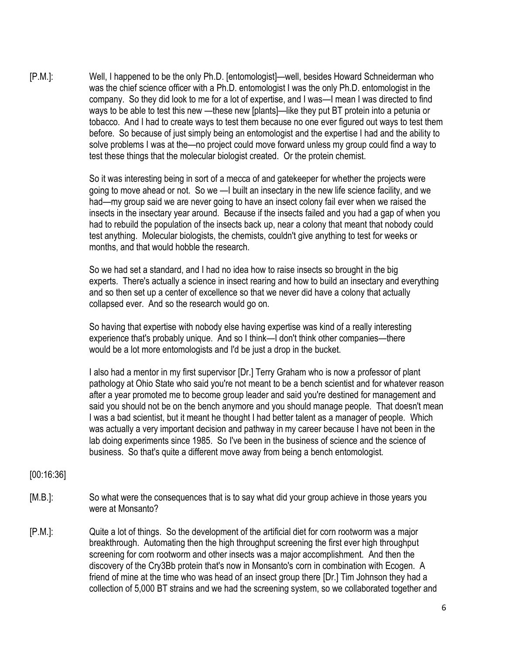[P.M.]: Well, I happened to be the only Ph.D. [entomologist]—well, besides Howard Schneiderman who was the chief science officer with a Ph.D. entomologist I was the only Ph.D. entomologist in the company. So they did look to me for a lot of expertise, and I was—I mean I was directed to find ways to be able to test this new —these new [plants]—like they put BT protein into a petunia or tobacco. And I had to create ways to test them because no one ever figured out ways to test them before. So because of just simply being an entomologist and the expertise I had and the ability to solve problems I was at the—no project could move forward unless my group could find a way to test these things that the molecular biologist created. Or the protein chemist.

> So it was interesting being in sort of a mecca of and gatekeeper for whether the projects were going to move ahead or not. So we —I built an insectary in the new life science facility, and we had—my group said we are never going to have an insect colony fail ever when we raised the insects in the insectary year around. Because if the insects failed and you had a gap of when you had to rebuild the population of the insects back up, near a colony that meant that nobody could test anything. Molecular biologists, the chemists, couldn't give anything to test for weeks or months, and that would hobble the research.

> So we had set a standard, and I had no idea how to raise insects so brought in the big experts. There's actually a science in insect rearing and how to build an insectary and everything and so then set up a center of excellence so that we never did have a colony that actually collapsed ever. And so the research would go on.

So having that expertise with nobody else having expertise was kind of a really interesting experience that's probably unique. And so I think—I don't think other companies—there would be a lot more entomologists and I'd be just a drop in the bucket.

I also had a mentor in my first supervisor [Dr.] Terry Graham who is now a professor of plant pathology at Ohio State who said you're not meant to be a bench scientist and for whatever reason after a year promoted me to become group leader and said you're destined for management and said you should not be on the bench anymore and you should manage people. That doesn't mean I was a bad scientist, but it meant he thought I had better talent as a manager of people. Which was actually a very important decision and pathway in my career because I have not been in the lab doing experiments since 1985. So I've been in the business of science and the science of business. So that's quite a different move away from being a bench entomologist.

#### [00:16:36]

- [M.B.]: So what were the consequences that is to say what did your group achieve in those years you were at Monsanto?
- [P.M.]: Quite a lot of things. So the development of the artificial diet for corn rootworm was a major breakthrough. Automating then the high throughput screening the first ever high throughput screening for corn rootworm and other insects was a major accomplishment. And then the discovery of the Cry3Bb protein that's now in Monsanto's corn in combination with Ecogen. A friend of mine at the time who was head of an insect group there [Dr.] Tim Johnson they had a collection of 5,000 BT strains and we had the screening system, so we collaborated together and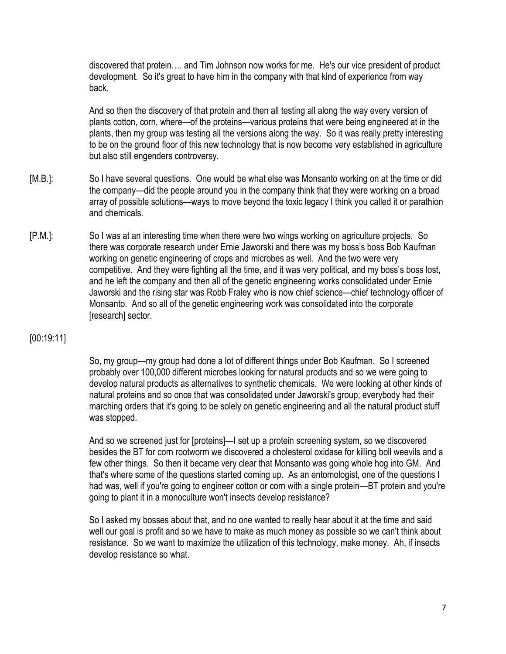discovered that protein…. and Tim Johnson now works for me. He's our vice president of product development. So it's great to have him in the company with that kind of experience from way back.

And so then the discovery of that protein and then all testing all along the way every version of plants cotton, corn, where—of the proteins—various proteins that were being engineered at in the plants, then my group was testing all the versions along the way. So it was really pretty interesting to be on the ground floor of this new technology that is now become very established in agriculture but also still engenders controversy.

- [M.B.]: So I have several questions. One would be what else was Monsanto working on at the time or did the company—did the people around you in the company think that they were working on a broad array of possible solutions—ways to move beyond the toxic legacy I think you called it or parathion and chemicals.
- [P.M.]: So I was at an interesting time when there were two wings working on agriculture projects. So there was corporate research under Ernie Jaworski and there was my boss's boss Bob Kaufman working on genetic engineering of crops and microbes as well. And the two were very competitive. And they were fighting all the time, and it was very political, and my boss's boss lost, and he left the company and then all of the genetic engineering works consolidated under Ernie Jaworski and the rising star was Robb Fraley who is now chief science—chief technology officer of Monsanto. And so all of the genetic engineering work was consolidated into the corporate [research] sector.

# [00:19:11]

So, my group—my group had done a lot of different things under Bob Kaufman. So I screened probably over 100,000 different microbes looking for natural products and so we were going to develop natural products as alternatives to synthetic chemicals. We were looking at other kinds of natural proteins and so once that was consolidated under Jaworski's group; everybody had their marching orders that it's going to be solely on genetic engineering and all the natural product stuff was stopped.

And so we screened just for [proteins]—I set up a protein screening system, so we discovered besides the BT for corn rootworm we discovered a cholesterol oxidase for killing boll weevils and a few other things. So then it became very clear that Monsanto was going whole hog into GM. And that's where some of the questions started coming up. As an entomologist, one of the questions I had was, well if you're going to engineer cotton or corn with a single protein—BT protein and you're going to plant it in a monoculture won't insects develop resistance?

So I asked my bosses about that, and no one wanted to really hear about it at the time and said well our goal is profit and so we have to make as much money as possible so we can't think about resistance. So we want to maximize the utilization of this technology, make money. Ah, if insects develop resistance so what.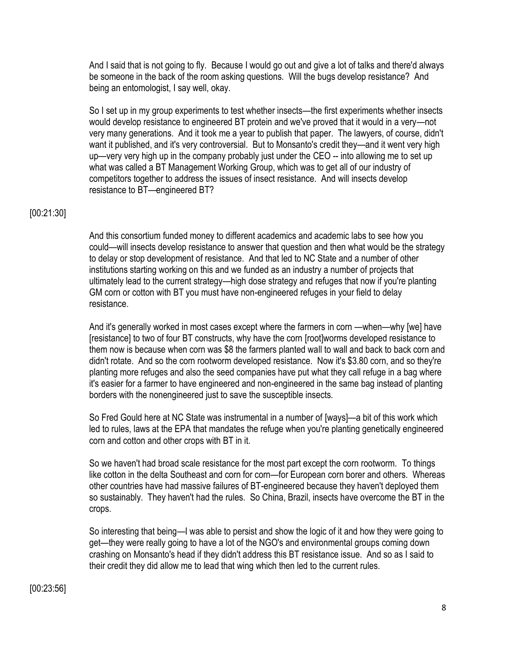And I said that is not going to fly. Because I would go out and give a lot of talks and there'd always be someone in the back of the room asking questions. Will the bugs develop resistance? And being an entomologist, I say well, okay.

So I set up in my group experiments to test whether insects—the first experiments whether insects would develop resistance to engineered BT protein and we've proved that it would in a very—not very many generations. And it took me a year to publish that paper. The lawyers, of course, didn't want it published, and it's very controversial. But to Monsanto's credit they—and it went very high up—very very high up in the company probably just under the CEO -- into allowing me to set up what was called a BT Management Working Group, which was to get all of our industry of competitors together to address the issues of insect resistance. And will insects develop resistance to BT—engineered BT?

#### [00:21:30]

And this consortium funded money to different academics and academic labs to see how you could—will insects develop resistance to answer that question and then what would be the strategy to delay or stop development of resistance. And that led to NC State and a number of other institutions starting working on this and we funded as an industry a number of projects that ultimately lead to the current strategy—high dose strategy and refuges that now if you're planting GM corn or cotton with BT you must have non-engineered refuges in your field to delay resistance.

And it's generally worked in most cases except where the farmers in corn —when—why [we] have [resistance] to two of four BT constructs, why have the corn [root]worms developed resistance to them now is because when corn was \$8 the farmers planted wall to wall and back to back corn and didn't rotate. And so the corn rootworm developed resistance. Now it's \$3.80 corn, and so they're planting more refuges and also the seed companies have put what they call refuge in a bag where it's easier for a farmer to have engineered and non-engineered in the same bag instead of planting borders with the nonengineered just to save the susceptible insects.

So Fred Gould here at NC State was instrumental in a number of [ways]—a bit of this work which led to rules, laws at the EPA that mandates the refuge when you're planting genetically engineered corn and cotton and other crops with BT in it.

So we haven't had broad scale resistance for the most part except the corn rootworm. To things like cotton in the delta Southeast and corn for corn—for European corn borer and others. Whereas other countries have had massive failures of BT-engineered because they haven't deployed them so sustainably. They haven't had the rules. So China, Brazil, insects have overcome the BT in the crops.

So interesting that being—I was able to persist and show the logic of it and how they were going to get—they were really going to have a lot of the NGO's and environmental groups coming down crashing on Monsanto's head if they didn't address this BT resistance issue. And so as I said to their credit they did allow me to lead that wing which then led to the current rules.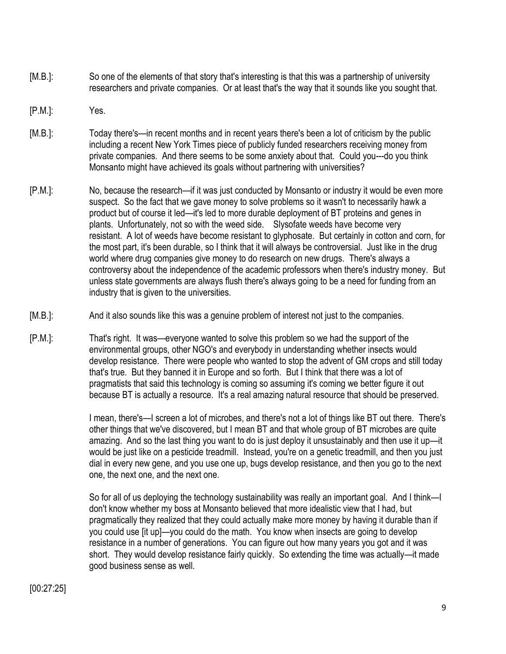- [M.B.]: So one of the elements of that story that's interesting is that this was a partnership of university researchers and private companies. Or at least that's the way that it sounds like you sought that.
- [P.M.]: Yes.
- [M.B.]: Today there's—in recent months and in recent years there's been a lot of criticism by the public including a recent New York Times piece of publicly funded researchers receiving money from private companies. And there seems to be some anxiety about that. Could you---do you think Monsanto might have achieved its goals without partnering with universities?
- [P.M.]: No, because the research—if it was just conducted by Monsanto or industry it would be even more suspect. So the fact that we gave money to solve problems so it wasn't to necessarily hawk a product but of course it led—it's led to more durable deployment of BT proteins and genes in plants. Unfortunately, not so with the weed side. Slysofate weeds have become very resistant. A lot of weeds have become resistant to glyphosate. But certainly in cotton and corn, for the most part, it's been durable, so I think that it will always be controversial. Just like in the drug world where drug companies give money to do research on new drugs. There's always a controversy about the independence of the academic professors when there's industry money. But unless state governments are always flush there's always going to be a need for funding from an industry that is given to the universities.
- [M.B.]: And it also sounds like this was a genuine problem of interest not just to the companies.
- [P.M.]: That's right. It was—everyone wanted to solve this problem so we had the support of the environmental groups, other NGO's and everybody in understanding whether insects would develop resistance. There were people who wanted to stop the advent of GM crops and still today that's true. But they banned it in Europe and so forth. But I think that there was a lot of pragmatists that said this technology is coming so assuming it's coming we better figure it out because BT is actually a resource. It's a real amazing natural resource that should be preserved.

I mean, there's—I screen a lot of microbes, and there's not a lot of things like BT out there. There's other things that we've discovered, but I mean BT and that whole group of BT microbes are quite amazing. And so the last thing you want to do is just deploy it unsustainably and then use it up—it would be just like on a pesticide treadmill. Instead, you're on a genetic treadmill, and then you just dial in every new gene, and you use one up, bugs develop resistance, and then you go to the next one, the next one, and the next one.

So for all of us deploying the technology sustainability was really an important goal. And I think—I don't know whether my boss at Monsanto believed that more idealistic view that I had, but pragmatically they realized that they could actually make more money by having it durable than if you could use [it up]—you could do the math. You know when insects are going to develop resistance in a number of generations. You can figure out how many years you got and it was short. They would develop resistance fairly quickly. So extending the time was actually—it made good business sense as well.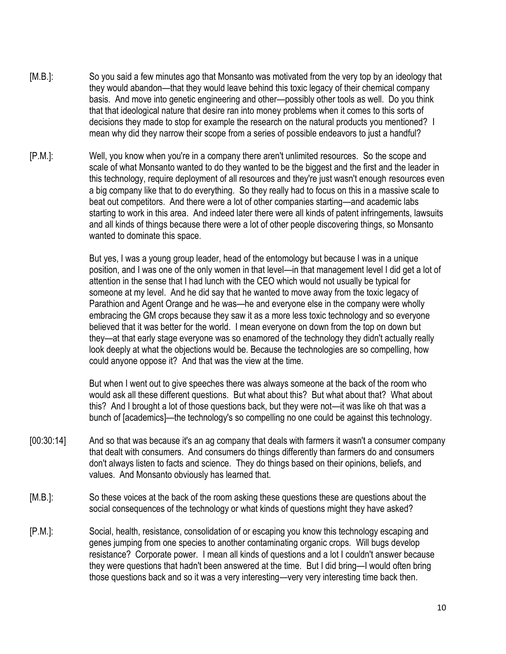- [M.B.]: So you said a few minutes ago that Monsanto was motivated from the very top by an ideology that they would abandon—that they would leave behind this toxic legacy of their chemical company basis. And move into genetic engineering and other—possibly other tools as well. Do you think that that ideological nature that desire ran into money problems when it comes to this sorts of decisions they made to stop for example the research on the natural products you mentioned? I mean why did they narrow their scope from a series of possible endeavors to just a handful?
- [P.M.]: Well, you know when you're in a company there aren't unlimited resources. So the scope and scale of what Monsanto wanted to do they wanted to be the biggest and the first and the leader in this technology, require deployment of all resources and they're just wasn't enough resources even a big company like that to do everything. So they really had to focus on this in a massive scale to beat out competitors. And there were a lot of other companies starting—and academic labs starting to work in this area. And indeed later there were all kinds of patent infringements, lawsuits and all kinds of things because there were a lot of other people discovering things, so Monsanto wanted to dominate this space.

But yes, I was a young group leader, head of the entomology but because I was in a unique position, and I was one of the only women in that level—in that management level I did get a lot of attention in the sense that I had lunch with the CEO which would not usually be typical for someone at my level. And he did say that he wanted to move away from the toxic legacy of Parathion and Agent Orange and he was—he and everyone else in the company were wholly embracing the GM crops because they saw it as a more less toxic technology and so everyone believed that it was better for the world. I mean everyone on down from the top on down but they—at that early stage everyone was so enamored of the technology they didn't actually really look deeply at what the objections would be. Because the technologies are so compelling, how could anyone oppose it? And that was the view at the time.

But when I went out to give speeches there was always someone at the back of the room who would ask all these different questions. But what about this? But what about that? What about this? And I brought a lot of those questions back, but they were not—it was like oh that was a bunch of [academics]—the technology's so compelling no one could be against this technology.

- [00:30:14] And so that was because it's an ag company that deals with farmers it wasn't a consumer company that dealt with consumers. And consumers do things differently than farmers do and consumers don't always listen to facts and science. They do things based on their opinions, beliefs, and values. And Monsanto obviously has learned that.
- [M.B.]: So these voices at the back of the room asking these questions these are questions about the social consequences of the technology or what kinds of questions might they have asked?
- [P.M.]: Social, health, resistance, consolidation of or escaping you know this technology escaping and genes jumping from one species to another contaminating organic crops. Will bugs develop resistance? Corporate power. I mean all kinds of questions and a lot I couldn't answer because they were questions that hadn't been answered at the time. But I did bring—I would often bring those questions back and so it was a very interesting—very very interesting time back then.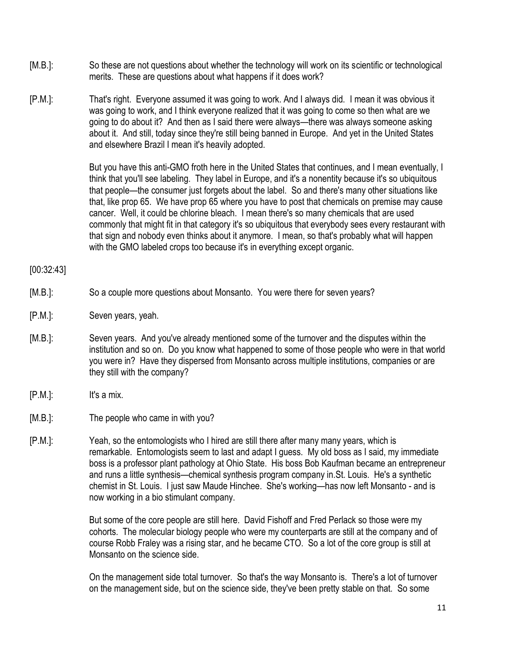- [M.B.]: So these are not questions about whether the technology will work on its scientific or technological merits. These are questions about what happens if it does work?
- [P.M.]: That's right. Everyone assumed it was going to work. And I always did. I mean it was obvious it was going to work, and I think everyone realized that it was going to come so then what are we going to do about it? And then as I said there were always—there was always someone asking about it. And still, today since they're still being banned in Europe. And yet in the United States and elsewhere Brazil I mean it's heavily adopted.

But you have this anti-GMO froth here in the United States that continues, and I mean eventually, I think that you'll see labeling. They label in Europe, and it's a nonentity because it's so ubiquitous that people—the consumer just forgets about the label. So and there's many other situations like that, like prop 65. We have prop 65 where you have to post that chemicals on premise may cause cancer. Well, it could be chlorine bleach. I mean there's so many chemicals that are used commonly that might fit in that category it's so ubiquitous that everybody sees every restaurant with that sign and nobody even thinks about it anymore. I mean, so that's probably what will happen with the GMO labeled crops too because it's in everything except organic.

### [00:32:43]

- [M.B.]: So a couple more questions about Monsanto. You were there for seven years?
- [P.M.]: Seven years, yeah.
- [M.B.]: Seven years. And you've already mentioned some of the turnover and the disputes within the institution and so on. Do you know what happened to some of those people who were in that world you were in? Have they dispersed from Monsanto across multiple institutions, companies or are they still with the company?
- [P.M.]: It's a mix.
- [M.B.]: The people who came in with you?
- [P.M.]: Yeah, so the entomologists who I hired are still there after many many years, which is remarkable. Entomologists seem to last and adapt I guess. My old boss as I said, my immediate boss is a professor plant pathology at Ohio State. His boss Bob Kaufman became an entrepreneur and runs a little synthesis—chemical synthesis program company in.St. Louis. He's a synthetic chemist in St. Louis. I just saw Maude Hinchee. She's working—has now left Monsanto - and is now working in a bio stimulant company.

But some of the core people are still here. David Fishoff and Fred Perlack so those were my cohorts. The molecular biology people who were my counterparts are still at the company and of course Robb Fraley was a rising star, and he became CTO. So a lot of the core group is still at Monsanto on the science side.

On the management side total turnover. So that's the way Monsanto is. There's a lot of turnover on the management side, but on the science side, they've been pretty stable on that. So some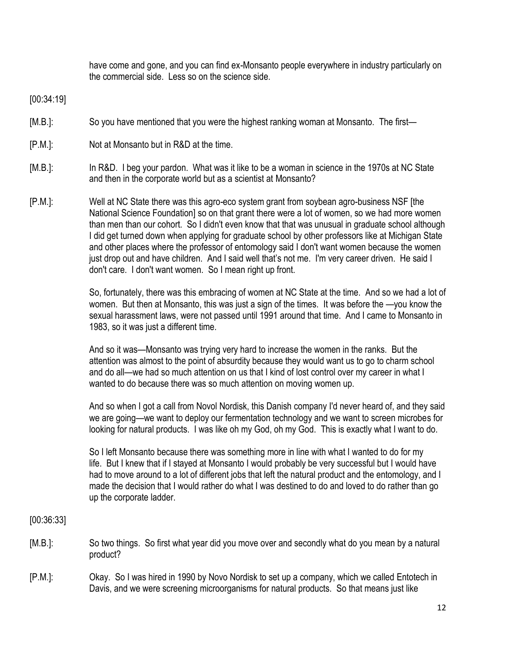have come and gone, and you can find ex-Monsanto people everywhere in industry particularly on the commercial side. Less so on the science side.

[00:34:19]

- [M.B.]: So you have mentioned that you were the highest ranking woman at Monsanto. The first—
- [P.M.]: Not at Monsanto but in R&D at the time.
- [M.B.]: In R&D. I beg your pardon. What was it like to be a woman in science in the 1970s at NC State and then in the corporate world but as a scientist at Monsanto?
- [P.M.]: Well at NC State there was this agro-eco system grant from soybean agro-business NSF [the National Science Foundation] so on that grant there were a lot of women, so we had more women than men than our cohort. So I didn't even know that that was unusual in graduate school although I did get turned down when applying for graduate school by other professors like at Michigan State and other places where the professor of entomology said I don't want women because the women just drop out and have children. And I said well that's not me. I'm very career driven. He said I don't care. I don't want women. So I mean right up front.

So, fortunately, there was this embracing of women at NC State at the time. And so we had a lot of women. But then at Monsanto, this was just a sign of the times. It was before the —you know the sexual harassment laws, were not passed until 1991 around that time. And I came to Monsanto in 1983, so it was just a different time.

And so it was—Monsanto was trying very hard to increase the women in the ranks. But the attention was almost to the point of absurdity because they would want us to go to charm school and do all—we had so much attention on us that I kind of lost control over my career in what I wanted to do because there was so much attention on moving women up.

And so when I got a call from Novol Nordisk, this Danish company I'd never heard of, and they said we are going—we want to deploy our fermentation technology and we want to screen microbes for looking for natural products. I was like oh my God, oh my God. This is exactly what I want to do.

So I left Monsanto because there was something more in line with what I wanted to do for my life. But I knew that if I stayed at Monsanto I would probably be very successful but I would have had to move around to a lot of different jobs that left the natural product and the entomology, and I made the decision that I would rather do what I was destined to do and loved to do rather than go up the corporate ladder.

[00:36:33]

- [M.B.]: So two things. So first what year did you move over and secondly what do you mean by a natural product?
- [P.M.]: Okay. So I was hired in 1990 by Novo Nordisk to set up a company, which we called Entotech in Davis, and we were screening microorganisms for natural products. So that means just like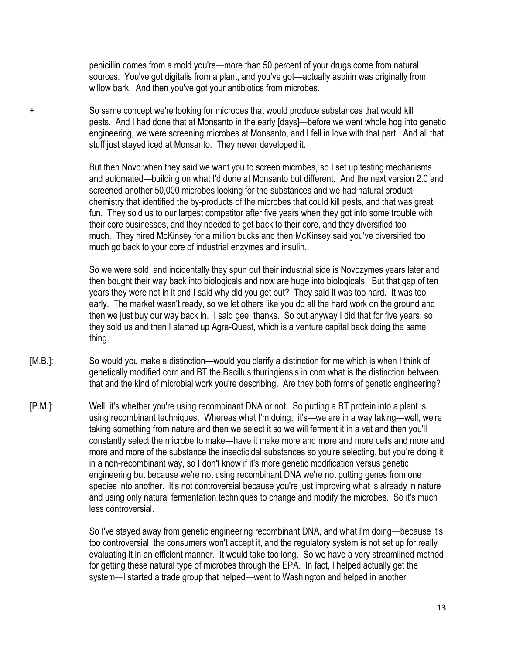penicillin comes from a mold you're—more than 50 percent of your drugs come from natural sources. You've got digitalis from a plant, and you've got—actually aspirin was originally from willow bark. And then you've got your antibiotics from microbes.

+ So same concept we're looking for microbes that would produce substances that would kill pests. And I had done that at Monsanto in the early [days]—before we went whole hog into genetic engineering, we were screening microbes at Monsanto, and I fell in love with that part. And all that stuff just stayed iced at Monsanto. They never developed it.

> But then Novo when they said we want you to screen microbes, so I set up testing mechanisms and automated—building on what I'd done at Monsanto but different. And the next version 2.0 and screened another 50,000 microbes looking for the substances and we had natural product chemistry that identified the by-products of the microbes that could kill pests, and that was great fun. They sold us to our largest competitor after five years when they got into some trouble with their core businesses, and they needed to get back to their core, and they diversified too much. They hired McKinsey for a million bucks and then McKinsey said you've diversified too much go back to your core of industrial enzymes and insulin.

So we were sold, and incidentally they spun out their industrial side is Novozymes years later and then bought their way back into biologicals and now are huge into biologicals. But that gap of ten years they were not in it and I said why did you get out? They said it was too hard. It was too early. The market wasn't ready, so we let others like you do all the hard work on the ground and then we just buy our way back in. I said gee, thanks. So but anyway I did that for five years, so they sold us and then I started up Agra-Quest, which is a venture capital back doing the same thing.

- [M.B.]: So would you make a distinction—would you clarify a distinction for me which is when I think of genetically modified corn and BT the Bacillus thuringiensis in corn what is the distinction between that and the kind of microbial work you're describing. Are they both forms of genetic engineering?
- [P.M.]: Well, it's whether you're using recombinant DNA or not. So putting a BT protein into a plant is using recombinant techniques. Whereas what I'm doing, it's—we are in a way taking—well, we're taking something from nature and then we select it so we will ferment it in a vat and then you'll constantly select the microbe to make—have it make more and more and more cells and more and more and more of the substance the insecticidal substances so you're selecting, but you're doing it in a non-recombinant way, so I don't know if it's more genetic modification versus genetic engineering but because we're not using recombinant DNA we're not putting genes from one species into another. It's not controversial because you're just improving what is already in nature and using only natural fermentation techniques to change and modify the microbes. So it's much less controversial.

So I've stayed away from genetic engineering recombinant DNA, and what I'm doing—because it's too controversial, the consumers won't accept it, and the regulatory system is not set up for really evaluating it in an efficient manner. It would take too long. So we have a very streamlined method for getting these natural type of microbes through the EPA. In fact, I helped actually get the system—I started a trade group that helped—went to Washington and helped in another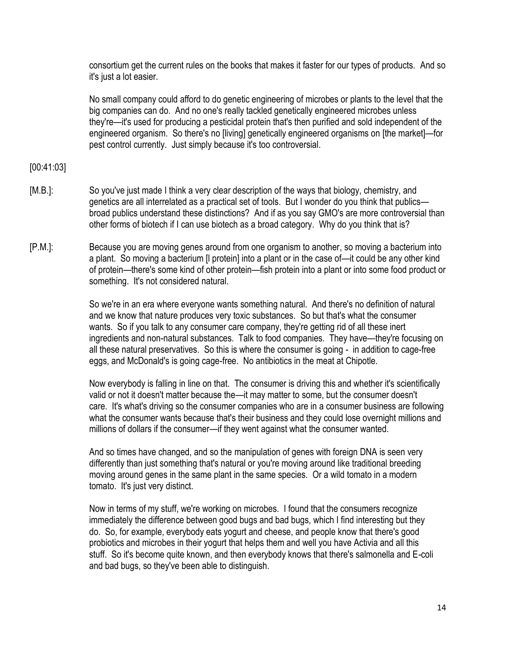consortium get the current rules on the books that makes it faster for our types of products. And so it's just a lot easier.

No small company could afford to do genetic engineering of microbes or plants to the level that the big companies can do. And no one's really tackled genetically engineered microbes unless they're—it's used for producing a pesticidal protein that's then purified and sold independent of the engineered organism. So there's no [living] genetically engineered organisms on [the market]—for pest control currently. Just simply because it's too controversial.

### [00:41:03]

- [M.B.]: So you've just made I think a very clear description of the ways that biology, chemistry, and genetics are all interrelated as a practical set of tools. But I wonder do you think that publics broad publics understand these distinctions? And if as you say GMO's are more controversial than other forms of biotech if I can use biotech as a broad category. Why do you think that is?
- [P.M.]: Because you are moving genes around from one organism to another, so moving a bacterium into a plant. So moving a bacterium [l protein] into a plant or in the case of—it could be any other kind of protein—there's some kind of other protein—fish protein into a plant or into some food product or something. It's not considered natural.

So we're in an era where everyone wants something natural. And there's no definition of natural and we know that nature produces very toxic substances. So but that's what the consumer wants. So if you talk to any consumer care company, they're getting rid of all these inert ingredients and non-natural substances. Talk to food companies. They have—they're focusing on all these natural preservatives. So this is where the consumer is going - in addition to cage-free eggs, and McDonald's is going cage-free. No antibiotics in the meat at Chipotle.

Now everybody is falling in line on that. The consumer is driving this and whether it's scientifically valid or not it doesn't matter because the—it may matter to some, but the consumer doesn't care. It's what's driving so the consumer companies who are in a consumer business are following what the consumer wants because that's their business and they could lose overnight millions and millions of dollars if the consumer—if they went against what the consumer wanted.

And so times have changed, and so the manipulation of genes with foreign DNA is seen very differently than just something that's natural or you're moving around like traditional breeding moving around genes in the same plant in the same species. Or a wild tomato in a modern tomato. It's just very distinct.

Now in terms of my stuff, we're working on microbes. I found that the consumers recognize immediately the difference between good bugs and bad bugs, which I find interesting but they do. So, for example, everybody eats yogurt and cheese, and people know that there's good probiotics and microbes in their yogurt that helps them and well you have Activia and all this stuff. So it's become quite known, and then everybody knows that there's salmonella and E-coli and bad bugs, so they've been able to distinguish.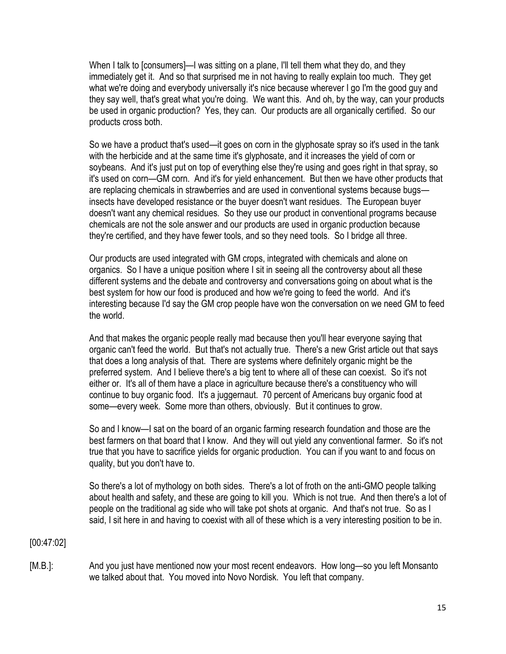When I talk to [consumers]—I was sitting on a plane, I'll tell them what they do, and they immediately get it. And so that surprised me in not having to really explain too much. They get what we're doing and everybody universally it's nice because wherever I go I'm the good guy and they say well, that's great what you're doing. We want this. And oh, by the way, can your products be used in organic production? Yes, they can. Our products are all organically certified. So our products cross both.

So we have a product that's used—it goes on corn in the glyphosate spray so it's used in the tank with the herbicide and at the same time it's glyphosate, and it increases the yield of corn or soybeans. And it's just put on top of everything else they're using and goes right in that spray, so it's used on corn—GM corn. And it's for yield enhancement. But then we have other products that are replacing chemicals in strawberries and are used in conventional systems because bugs insects have developed resistance or the buyer doesn't want residues. The European buyer doesn't want any chemical residues. So they use our product in conventional programs because chemicals are not the sole answer and our products are used in organic production because they're certified, and they have fewer tools, and so they need tools. So I bridge all three.

Our products are used integrated with GM crops, integrated with chemicals and alone on organics. So I have a unique position where I sit in seeing all the controversy about all these different systems and the debate and controversy and conversations going on about what is the best system for how our food is produced and how we're going to feed the world. And it's interesting because I'd say the GM crop people have won the conversation on we need GM to feed the world.

And that makes the organic people really mad because then you'll hear everyone saying that organic can't feed the world. But that's not actually true. There's a new Grist article out that says that does a long analysis of that. There are systems where definitely organic might be the preferred system. And I believe there's a big tent to where all of these can coexist. So it's not either or. It's all of them have a place in agriculture because there's a constituency who will continue to buy organic food. It's a juggernaut. 70 percent of Americans buy organic food at some—every week. Some more than others, obviously. But it continues to grow.

So and I know—I sat on the board of an organic farming research foundation and those are the best farmers on that board that I know. And they will out yield any conventional farmer. So it's not true that you have to sacrifice yields for organic production. You can if you want to and focus on quality, but you don't have to.

So there's a lot of mythology on both sides. There's a lot of froth on the anti-GMO people talking about health and safety, and these are going to kill you. Which is not true. And then there's a lot of people on the traditional ag side who will take pot shots at organic. And that's not true. So as I said, I sit here in and having to coexist with all of these which is a very interesting position to be in.

[00:47:02]

[M.B.]: And you just have mentioned now your most recent endeavors. How long—so you left Monsanto we talked about that. You moved into Novo Nordisk. You left that company.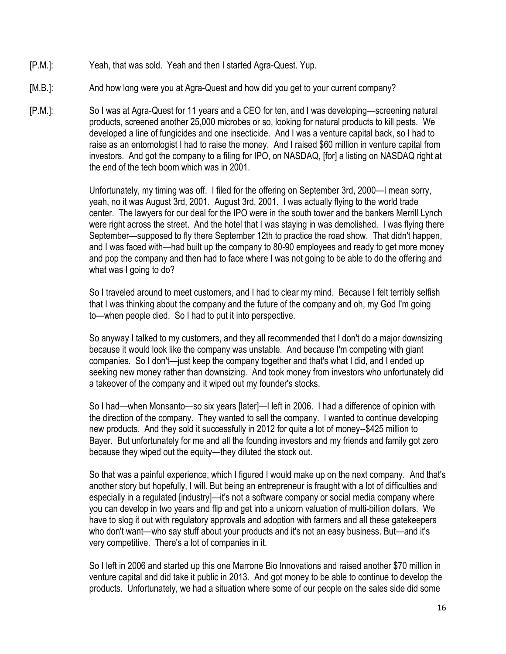- [P.M.]: Yeah, that was sold. Yeah and then I started Agra-Quest. Yup.
- [M.B.]: And how long were you at Agra-Quest and how did you get to your current company?
- [P.M.]: So I was at Agra-Quest for 11 years and a CEO for ten, and I was developing—screening natural products, screened another 25,000 microbes or so, looking for natural products to kill pests. We developed a line of fungicides and one insecticide. And I was a venture capital back, so I had to raise as an entomologist I had to raise the money. And I raised \$60 million in venture capital from investors. And got the company to a filing for IPO, on NASDAQ, [for] a listing on NASDAQ right at the end of the tech boom which was in 2001.

Unfortunately, my timing was off. I filed for the offering on September 3rd, 2000—I mean sorry, yeah, no it was August 3rd, 2001. August 3rd, 2001. I was actually flying to the world trade center. The lawyers for our deal for the IPO were in the south tower and the bankers Merrill Lynch were right across the street. And the hotel that I was staying in was demolished. I was flying there September—supposed to fly there September 12th to practice the road show. That didn't happen, and I was faced with—had built up the company to 80-90 employees and ready to get more money and pop the company and then had to face where I was not going to be able to do the offering and what was I going to do?

So I traveled around to meet customers, and I had to clear my mind. Because I felt terribly selfish that I was thinking about the company and the future of the company and oh, my God I'm going to—when people died. So I had to put it into perspective.

So anyway I talked to my customers, and they all recommended that I don't do a major downsizing because it would look like the company was unstable. And because I'm competing with giant companies. So I don't—just keep the company together and that's what I did, and I ended up seeking new money rather than downsizing. And took money from investors who unfortunately did a takeover of the company and it wiped out my founder's stocks.

So I had—when Monsanto—so six years [later]—I left in 2006. I had a difference of opinion with the direction of the company. They wanted to sell the company. I wanted to continue developing new products. And they sold it successfully in 2012 for quite a lot of money--\$425 million to Bayer. But unfortunately for me and all the founding investors and my friends and family got zero because they wiped out the equity—they diluted the stock out.

So that was a painful experience, which I figured I would make up on the next company. And that's another story but hopefully, I will. But being an entrepreneur is fraught with a lot of difficulties and especially in a regulated [industry]—it's not a software company or social media company where you can develop in two years and flip and get into a unicorn valuation of multi-billion dollars. We have to slog it out with regulatory approvals and adoption with farmers and all these gatekeepers who don't want—who say stuff about your products and it's not an easy business. But—and it's very competitive. There's a lot of companies in it.

So I left in 2006 and started up this one Marrone Bio Innovations and raised another \$70 million in venture capital and did take it public in 2013. And got money to be able to continue to develop the products. Unfortunately, we had a situation where some of our people on the sales side did some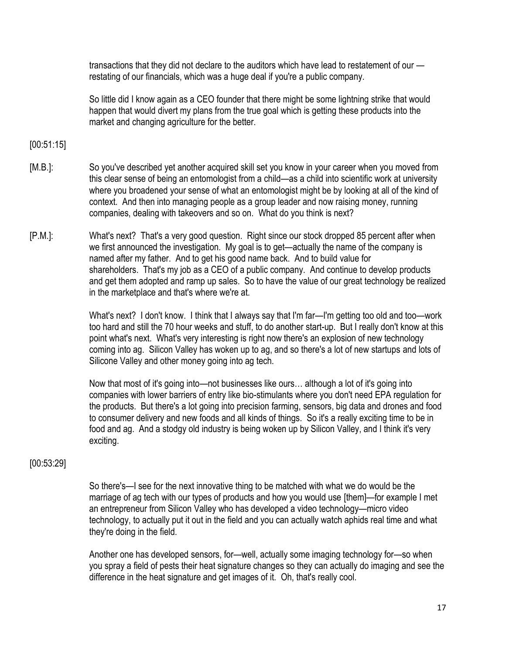transactions that they did not declare to the auditors which have lead to restatement of our restating of our financials, which was a huge deal if you're a public company.

So little did I know again as a CEO founder that there might be some lightning strike that would happen that would divert my plans from the true goal which is getting these products into the market and changing agriculture for the better.

[00:51:15]

- [M.B.]: So you've described yet another acquired skill set you know in your career when you moved from this clear sense of being an entomologist from a child—as a child into scientific work at university where you broadened your sense of what an entomologist might be by looking at all of the kind of context. And then into managing people as a group leader and now raising money, running companies, dealing with takeovers and so on. What do you think is next?
- [P.M.]: What's next? That's a very good question. Right since our stock dropped 85 percent after when we first announced the investigation. My goal is to get—actually the name of the company is named after my father. And to get his good name back. And to build value for shareholders. That's my job as a CEO of a public company. And continue to develop products and get them adopted and ramp up sales. So to have the value of our great technology be realized in the marketplace and that's where we're at.

What's next? I don't know. I think that I always say that I'm far—I'm getting too old and too—work too hard and still the 70 hour weeks and stuff, to do another start-up. But I really don't know at this point what's next. What's very interesting is right now there's an explosion of new technology coming into ag. Silicon Valley has woken up to ag, and so there's a lot of new startups and lots of Silicone Valley and other money going into ag tech.

Now that most of it's going into—not businesses like ours… although a lot of it's going into companies with lower barriers of entry like bio-stimulants where you don't need EPA regulation for the products. But there's a lot going into precision farming, sensors, big data and drones and food to consumer delivery and new foods and all kinds of things. So it's a really exciting time to be in food and ag. And a stodgy old industry is being woken up by Silicon Valley, and I think it's very exciting.

# [00:53:29]

So there's—I see for the next innovative thing to be matched with what we do would be the marriage of ag tech with our types of products and how you would use [them]—for example I met an entrepreneur from Silicon Valley who has developed a video technology—micro video technology, to actually put it out in the field and you can actually watch aphids real time and what they're doing in the field.

Another one has developed sensors, for—well, actually some imaging technology for—so when you spray a field of pests their heat signature changes so they can actually do imaging and see the difference in the heat signature and get images of it. Oh, that's really cool.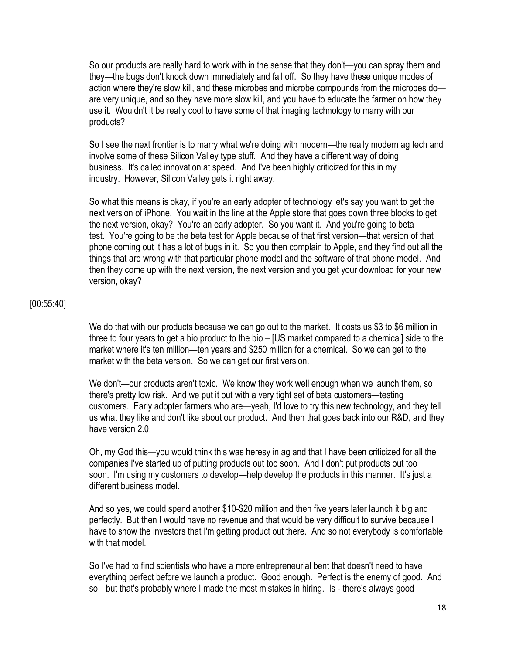So our products are really hard to work with in the sense that they don't—you can spray them and they—the bugs don't knock down immediately and fall off. So they have these unique modes of action where they're slow kill, and these microbes and microbe compounds from the microbes do are very unique, and so they have more slow kill, and you have to educate the farmer on how they use it. Wouldn't it be really cool to have some of that imaging technology to marry with our products?

So I see the next frontier is to marry what we're doing with modern—the really modern ag tech and involve some of these Silicon Valley type stuff. And they have a different way of doing business. It's called innovation at speed. And I've been highly criticized for this in my industry. However, Silicon Valley gets it right away.

So what this means is okay, if you're an early adopter of technology let's say you want to get the next version of iPhone. You wait in the line at the Apple store that goes down three blocks to get the next version, okay? You're an early adopter. So you want it. And you're going to beta test. You're going to be the beta test for Apple because of that first version—that version of that phone coming out it has a lot of bugs in it. So you then complain to Apple, and they find out all the things that are wrong with that particular phone model and the software of that phone model. And then they come up with the next version, the next version and you get your download for your new version, okay?

#### [00:55:40]

We do that with our products because we can go out to the market. It costs us \$3 to \$6 million in three to four years to get a bio product to the bio – [US market compared to a chemical] side to the market where it's ten million—ten years and \$250 million for a chemical. So we can get to the market with the beta version. So we can get our first version.

We don't—our products aren't toxic. We know they work well enough when we launch them, so there's pretty low risk. And we put it out with a very tight set of beta customers—testing customers. Early adopter farmers who are—yeah, I'd love to try this new technology, and they tell us what they like and don't like about our product. And then that goes back into our R&D, and they have version 2.0

Oh, my God this—you would think this was heresy in ag and that I have been criticized for all the companies I've started up of putting products out too soon. And I don't put products out too soon. I'm using my customers to develop—help develop the products in this manner. It's just a different business model.

And so yes, we could spend another \$10-\$20 million and then five years later launch it big and perfectly. But then I would have no revenue and that would be very difficult to survive because I have to show the investors that I'm getting product out there. And so not everybody is comfortable with that model.

So I've had to find scientists who have a more entrepreneurial bent that doesn't need to have everything perfect before we launch a product. Good enough. Perfect is the enemy of good. And so—but that's probably where I made the most mistakes in hiring. Is - there's always good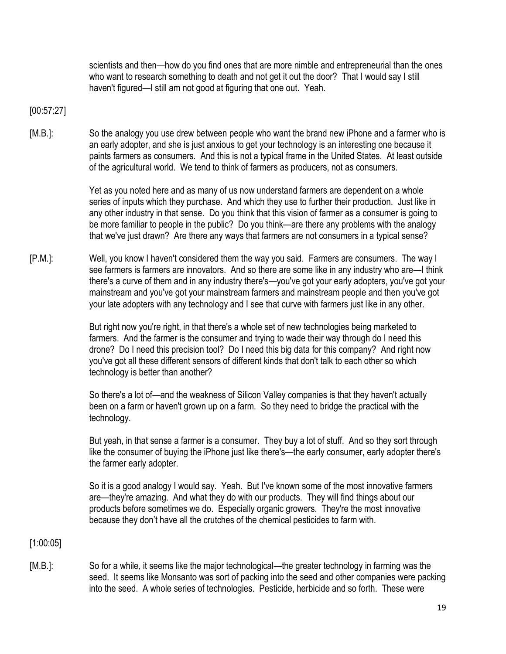scientists and then—how do you find ones that are more nimble and entrepreneurial than the ones who want to research something to death and not get it out the door? That I would say I still haven't figured—I still am not good at figuring that one out. Yeah.

[00:57:27]

[M.B.]: So the analogy you use drew between people who want the brand new iPhone and a farmer who is an early adopter, and she is just anxious to get your technology is an interesting one because it paints farmers as consumers. And this is not a typical frame in the United States. At least outside of the agricultural world. We tend to think of farmers as producers, not as consumers.

> Yet as you noted here and as many of us now understand farmers are dependent on a whole series of inputs which they purchase. And which they use to further their production. Just like in any other industry in that sense. Do you think that this vision of farmer as a consumer is going to be more familiar to people in the public? Do you think—are there any problems with the analogy that we've just drawn? Are there any ways that farmers are not consumers in a typical sense?

[P.M.]: Well, you know I haven't considered them the way you said. Farmers are consumers. The way I see farmers is farmers are innovators. And so there are some like in any industry who are—I think there's a curve of them and in any industry there's—you've got your early adopters, you've got your mainstream and you've got your mainstream farmers and mainstream people and then you've got your late adopters with any technology and I see that curve with farmers just like in any other.

> But right now you're right, in that there's a whole set of new technologies being marketed to farmers. And the farmer is the consumer and trying to wade their way through do I need this drone? Do I need this precision tool? Do I need this big data for this company? And right now you've got all these different sensors of different kinds that don't talk to each other so which technology is better than another?

So there's a lot of—and the weakness of Silicon Valley companies is that they haven't actually been on a farm or haven't grown up on a farm. So they need to bridge the practical with the technology.

But yeah, in that sense a farmer is a consumer. They buy a lot of stuff. And so they sort through like the consumer of buying the iPhone just like there's—the early consumer, early adopter there's the farmer early adopter.

So it is a good analogy I would say. Yeah. But I've known some of the most innovative farmers are—they're amazing. And what they do with our products. They will find things about our products before sometimes we do. Especially organic growers. They're the most innovative because they don't have all the crutches of the chemical pesticides to farm with.

[1:00:05]

[M.B.]: So for a while, it seems like the major technological—the greater technology in farming was the seed. It seems like Monsanto was sort of packing into the seed and other companies were packing into the seed. A whole series of technologies. Pesticide, herbicide and so forth. These were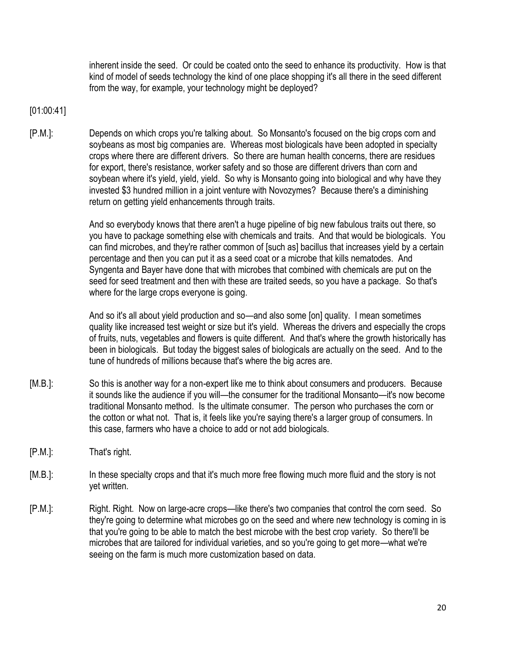inherent inside the seed. Or could be coated onto the seed to enhance its productivity. How is that kind of model of seeds technology the kind of one place shopping it's all there in the seed different from the way, for example, your technology might be deployed?

# [01:00:41]

[P.M.]: Depends on which crops you're talking about. So Monsanto's focused on the big crops corn and soybeans as most big companies are. Whereas most biologicals have been adopted in specialty crops where there are different drivers. So there are human health concerns, there are residues for export, there's resistance, worker safety and so those are different drivers than corn and soybean where it's yield, yield, yield. So why is Monsanto going into biological and why have they invested \$3 hundred million in a joint venture with Novozymes? Because there's a diminishing return on getting yield enhancements through traits.

> And so everybody knows that there aren't a huge pipeline of big new fabulous traits out there, so you have to package something else with chemicals and traits. And that would be biologicals. You can find microbes, and they're rather common of [such as] bacillus that increases yield by a certain percentage and then you can put it as a seed coat or a microbe that kills nematodes. And Syngenta and Bayer have done that with microbes that combined with chemicals are put on the seed for seed treatment and then with these are traited seeds, so you have a package. So that's where for the large crops everyone is going.

> And so it's all about yield production and so—and also some [on] quality. I mean sometimes quality like increased test weight or size but it's yield. Whereas the drivers and especially the crops of fruits, nuts, vegetables and flowers is quite different. And that's where the growth historically has been in biologicals. But today the biggest sales of biologicals are actually on the seed. And to the tune of hundreds of millions because that's where the big acres are.

- [M.B.]: So this is another way for a non-expert like me to think about consumers and producers. Because it sounds like the audience if you will—the consumer for the traditional Monsanto—it's now become traditional Monsanto method. Is the ultimate consumer. The person who purchases the corn or the cotton or what not. That is, it feels like you're saying there's a larger group of consumers. In this case, farmers who have a choice to add or not add biologicals.
- [P.M.]: That's right.
- [M.B.]: In these specialty crops and that it's much more free flowing much more fluid and the story is not yet written.
- [P.M.]: Right. Right. Now on large-acre crops—like there's two companies that control the corn seed. So they're going to determine what microbes go on the seed and where new technology is coming in is that you're going to be able to match the best microbe with the best crop variety. So there'll be microbes that are tailored for individual varieties, and so you're going to get more—what we're seeing on the farm is much more customization based on data.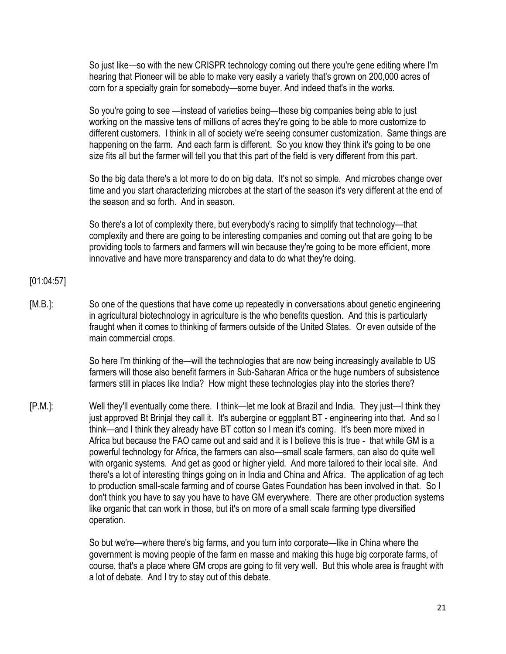So just like—so with the new CRISPR technology coming out there you're gene editing where I'm hearing that Pioneer will be able to make very easily a variety that's grown on 200,000 acres of corn for a specialty grain for somebody—some buyer. And indeed that's in the works.

So you're going to see —instead of varieties being—these big companies being able to just working on the massive tens of millions of acres they're going to be able to more customize to different customers. I think in all of society we're seeing consumer customization. Same things are happening on the farm. And each farm is different. So you know they think it's going to be one size fits all but the farmer will tell you that this part of the field is very different from this part.

So the big data there's a lot more to do on big data. It's not so simple. And microbes change over time and you start characterizing microbes at the start of the season it's very different at the end of the season and so forth. And in season.

So there's a lot of complexity there, but everybody's racing to simplify that technology—that complexity and there are going to be interesting companies and coming out that are going to be providing tools to farmers and farmers will win because they're going to be more efficient, more innovative and have more transparency and data to do what they're doing.

### [01:04:57]

[M.B.]: So one of the questions that have come up repeatedly in conversations about genetic engineering in agricultural biotechnology in agriculture is the who benefits question. And this is particularly fraught when it comes to thinking of farmers outside of the United States. Or even outside of the main commercial crops.

> So here I'm thinking of the—will the technologies that are now being increasingly available to US farmers will those also benefit farmers in Sub-Saharan Africa or the huge numbers of subsistence farmers still in places like India? How might these technologies play into the stories there?

[P.M.]: Well they'll eventually come there. I think—let me look at Brazil and India. They just—I think they just approved Bt Brinjal they call it. It's aubergine or eggplant BT - engineering into that. And so I think—and I think they already have BT cotton so I mean it's coming. It's been more mixed in Africa but because the FAO came out and said and it is I believe this is true - that while GM is a powerful technology for Africa, the farmers can also—small scale farmers, can also do quite well with organic systems. And get as good or higher yield. And more tailored to their local site. And there's a lot of interesting things going on in India and China and Africa. The application of ag tech to production small-scale farming and of course Gates Foundation has been involved in that. So I don't think you have to say you have to have GM everywhere. There are other production systems like organic that can work in those, but it's on more of a small scale farming type diversified operation.

> So but we're—where there's big farms, and you turn into corporate—like in China where the government is moving people of the farm en masse and making this huge big corporate farms, of course, that's a place where GM crops are going to fit very well. But this whole area is fraught with a lot of debate. And I try to stay out of this debate.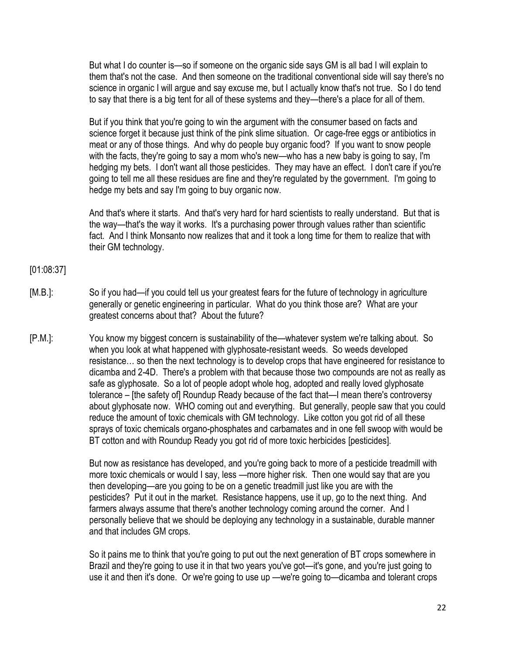But what I do counter is—so if someone on the organic side says GM is all bad I will explain to them that's not the case. And then someone on the traditional conventional side will say there's no science in organic I will argue and say excuse me, but I actually know that's not true. So I do tend to say that there is a big tent for all of these systems and they—there's a place for all of them.

But if you think that you're going to win the argument with the consumer based on facts and science forget it because just think of the pink slime situation. Or cage-free eggs or antibiotics in meat or any of those things. And why do people buy organic food? If you want to snow people with the facts, they're going to say a mom who's new—who has a new baby is going to say, I'm hedging my bets. I don't want all those pesticides. They may have an effect. I don't care if you're going to tell me all these residues are fine and they're regulated by the government. I'm going to hedge my bets and say I'm going to buy organic now.

And that's where it starts. And that's very hard for hard scientists to really understand. But that is the way—that's the way it works. It's a purchasing power through values rather than scientific fact. And I think Monsanto now realizes that and it took a long time for them to realize that with their GM technology.

# [01:08:37]

- [M.B.]: So if you had—if you could tell us your greatest fears for the future of technology in agriculture generally or genetic engineering in particular. What do you think those are? What are your greatest concerns about that? About the future?
- [P.M.]: You know my biggest concern is sustainability of the—whatever system we're talking about. So when you look at what happened with glyphosate-resistant weeds. So weeds developed resistance… so then the next technology is to develop crops that have engineered for resistance to dicamba and 2-4D. There's a problem with that because those two compounds are not as really as safe as glyphosate. So a lot of people adopt whole hog, adopted and really loved glyphosate tolerance – [the safety of] Roundup Ready because of the fact that—I mean there's controversy about glyphosate now. WHO coming out and everything. But generally, people saw that you could reduce the amount of toxic chemicals with GM technology. Like cotton you got rid of all these sprays of toxic chemicals organo-phosphates and carbamates and in one fell swoop with would be BT cotton and with Roundup Ready you got rid of more toxic herbicides [pesticides].

But now as resistance has developed, and you're going back to more of a pesticide treadmill with more toxic chemicals or would I say, less —more higher risk. Then one would say that are you then developing—are you going to be on a genetic treadmill just like you are with the pesticides? Put it out in the market. Resistance happens, use it up, go to the next thing. And farmers always assume that there's another technology coming around the corner. And I personally believe that we should be deploying any technology in a sustainable, durable manner and that includes GM crops.

So it pains me to think that you're going to put out the next generation of BT crops somewhere in Brazil and they're going to use it in that two years you've got—it's gone, and you're just going to use it and then it's done. Or we're going to use up —we're going to—dicamba and tolerant crops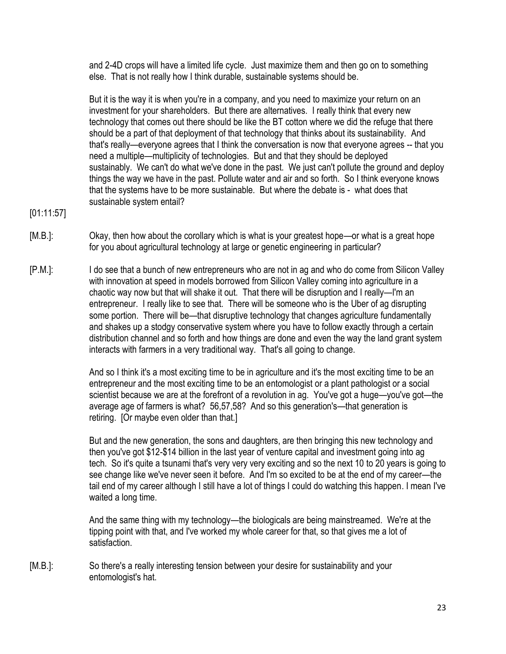and 2-4D crops will have a limited life cycle. Just maximize them and then go on to something else. That is not really how I think durable, sustainable systems should be.

But it is the way it is when you're in a company, and you need to maximize your return on an investment for your shareholders. But there are alternatives. I really think that every new technology that comes out there should be like the BT cotton where we did the refuge that there should be a part of that deployment of that technology that thinks about its sustainability. And that's really—everyone agrees that I think the conversation is now that everyone agrees -- that you need a multiple—multiplicity of technologies. But and that they should be deployed sustainably. We can't do what we've done in the past. We just can't pollute the ground and deploy things the way we have in the past. Pollute water and air and so forth. So I think everyone knows that the systems have to be more sustainable. But where the debate is - what does that sustainable system entail?

- [01:11:57]
- [M.B.]: Okay, then how about the corollary which is what is your greatest hope—or what is a great hope for you about agricultural technology at large or genetic engineering in particular?
- [P.M.]: I do see that a bunch of new entrepreneurs who are not in ag and who do come from Silicon Valley with innovation at speed in models borrowed from Silicon Valley coming into agriculture in a chaotic way now but that will shake it out. That there will be disruption and I really—I'm an entrepreneur. I really like to see that. There will be someone who is the Uber of ag disrupting some portion. There will be—that disruptive technology that changes agriculture fundamentally and shakes up a stodgy conservative system where you have to follow exactly through a certain distribution channel and so forth and how things are done and even the way the land grant system interacts with farmers in a very traditional way. That's all going to change.

And so I think it's a most exciting time to be in agriculture and it's the most exciting time to be an entrepreneur and the most exciting time to be an entomologist or a plant pathologist or a social scientist because we are at the forefront of a revolution in ag. You've got a huge—you've got—the average age of farmers is what? 56,57,58? And so this generation's—that generation is retiring. [Or maybe even older than that.]

But and the new generation, the sons and daughters, are then bringing this new technology and then you've got \$12-\$14 billion in the last year of venture capital and investment going into ag tech. So it's quite a tsunami that's very very very exciting and so the next 10 to 20 years is going to see change like we've never seen it before. And I'm so excited to be at the end of my career—the tail end of my career although I still have a lot of things I could do watching this happen. I mean I've waited a long time.

And the same thing with my technology—the biologicals are being mainstreamed. We're at the tipping point with that, and I've worked my whole career for that, so that gives me a lot of satisfaction.

[M.B.]: So there's a really interesting tension between your desire for sustainability and your entomologist's hat.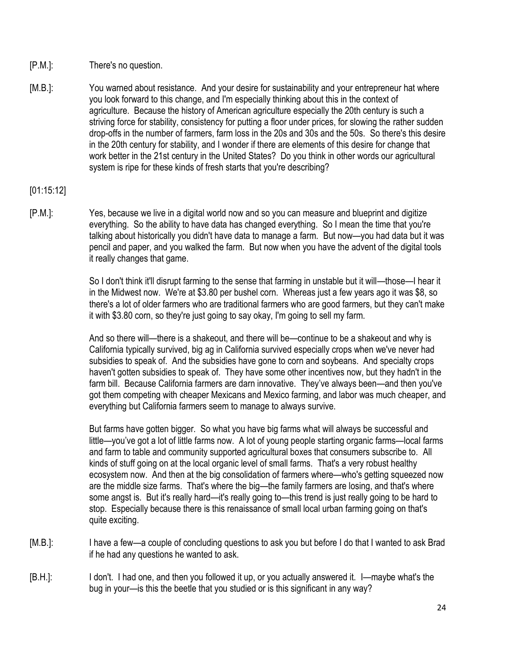- [P.M.]: There's no question.
- [M.B.]: You warned about resistance. And your desire for sustainability and your entrepreneur hat where you look forward to this change, and I'm especially thinking about this in the context of agriculture. Because the history of American agriculture especially the 20th century is such a striving force for stability, consistency for putting a floor under prices, for slowing the rather sudden drop-offs in the number of farmers, farm loss in the 20s and 30s and the 50s. So there's this desire in the 20th century for stability, and I wonder if there are elements of this desire for change that work better in the 21st century in the United States? Do you think in other words our agricultural system is ripe for these kinds of fresh starts that you're describing?

# [01:15:12]

[P.M.]: Yes, because we live in a digital world now and so you can measure and blueprint and digitize everything. So the ability to have data has changed everything. So I mean the time that you're talking about historically you didn't have data to manage a farm. But now—you had data but it was pencil and paper, and you walked the farm. But now when you have the advent of the digital tools it really changes that game.

> So I don't think it'll disrupt farming to the sense that farming in unstable but it will—those—I hear it in the Midwest now. We're at \$3.80 per bushel corn. Whereas just a few years ago it was \$8, so there's a lot of older farmers who are traditional farmers who are good farmers, but they can't make it with \$3.80 corn, so they're just going to say okay, I'm going to sell my farm.

> And so there will—there is a shakeout, and there will be—continue to be a shakeout and why is California typically survived, big ag in California survived especially crops when we've never had subsidies to speak of. And the subsidies have gone to corn and soybeans. And specialty crops haven't gotten subsidies to speak of. They have some other incentives now, but they hadn't in the farm bill. Because California farmers are darn innovative. They've always been—and then you've got them competing with cheaper Mexicans and Mexico farming, and labor was much cheaper, and everything but California farmers seem to manage to always survive.

> But farms have gotten bigger. So what you have big farms what will always be successful and little—you've got a lot of little farms now. A lot of young people starting organic farms—local farms and farm to table and community supported agricultural boxes that consumers subscribe to. All kinds of stuff going on at the local organic level of small farms. That's a very robust healthy ecosystem now. And then at the big consolidation of farmers where—who's getting squeezed now are the middle size farms. That's where the big—the family farmers are losing, and that's where some angst is. But it's really hard—it's really going to—this trend is just really going to be hard to stop. Especially because there is this renaissance of small local urban farming going on that's quite exciting.

- [M.B.]: I have a few—a couple of concluding questions to ask you but before I do that I wanted to ask Brad if he had any questions he wanted to ask.
- [B.H.]: I don't. I had one, and then you followed it up, or you actually answered it. I—maybe what's the bug in your—is this the beetle that you studied or is this significant in any way?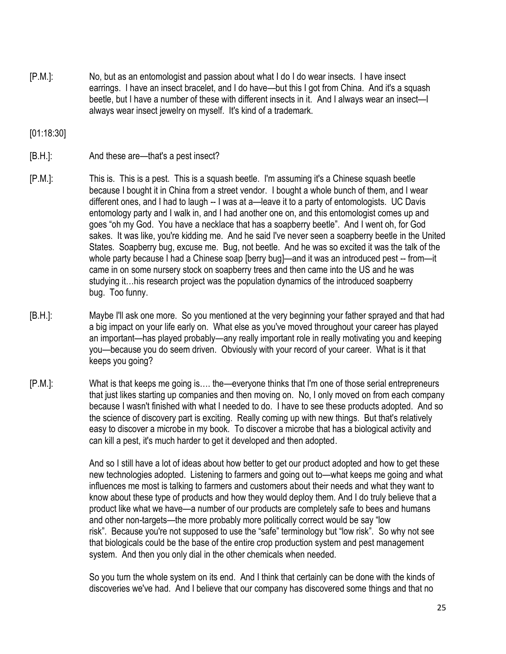[P.M.]: No, but as an entomologist and passion about what I do I do wear insects. I have insect earrings. I have an insect bracelet, and I do have—but this I got from China. And it's a squash beetle, but I have a number of these with different insects in it. And I always wear an insect—I always wear insect jewelry on myself. It's kind of a trademark.

[01:18:30]

[B.H.]: And these are—that's a pest insect?

- [P.M.]: This is. This is a pest. This is a squash beetle. I'm assuming it's a Chinese squash beetle because I bought it in China from a street vendor. I bought a whole bunch of them, and I wear different ones, and I had to laugh -- I was at a—leave it to a party of entomologists. UC Davis entomology party and I walk in, and I had another one on, and this entomologist comes up and goes "oh my God. You have a necklace that has a soapberry beetle". And I went oh, for God sakes. It was like, you're kidding me. And he said I've never seen a soapberry beetle in the United States. Soapberry bug, excuse me. Bug, not beetle. And he was so excited it was the talk of the whole party because I had a Chinese soap [berry bug]—and it was an introduced pest -- from—it came in on some nursery stock on soapberry trees and then came into the US and he was studying it…his research project was the population dynamics of the introduced soapberry bug. Too funny.
- [B.H.]: Maybe I'll ask one more. So you mentioned at the very beginning your father sprayed and that had a big impact on your life early on. What else as you've moved throughout your career has played an important—has played probably—any really important role in really motivating you and keeping you—because you do seem driven. Obviously with your record of your career. What is it that keeps you going?
- [P.M.]: What is that keeps me going is…. the—everyone thinks that I'm one of those serial entrepreneurs that just likes starting up companies and then moving on. No, I only moved on from each company because I wasn't finished with what I needed to do. I have to see these products adopted. And so the science of discovery part is exciting. Really coming up with new things. But that's relatively easy to discover a microbe in my book. To discover a microbe that has a biological activity and can kill a pest, it's much harder to get it developed and then adopted.

And so I still have a lot of ideas about how better to get our product adopted and how to get these new technologies adopted. Listening to farmers and going out to—what keeps me going and what influences me most is talking to farmers and customers about their needs and what they want to know about these type of products and how they would deploy them. And I do truly believe that a product like what we have—a number of our products are completely safe to bees and humans and other non-targets—the more probably more politically correct would be say "low risk". Because you're not supposed to use the "safe" terminology but "low risk". So why not see that biologicals could be the base of the entire crop production system and pest management system. And then you only dial in the other chemicals when needed.

So you turn the whole system on its end. And I think that certainly can be done with the kinds of discoveries we've had. And I believe that our company has discovered some things and that no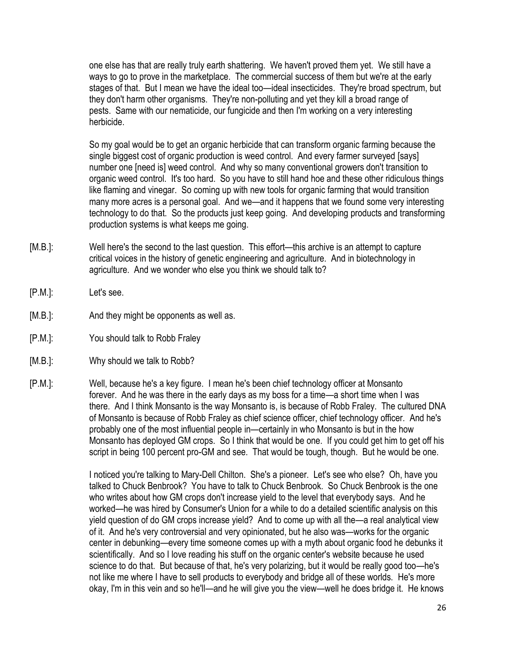one else has that are really truly earth shattering. We haven't proved them yet. We still have a ways to go to prove in the marketplace. The commercial success of them but we're at the early stages of that. But I mean we have the ideal too—ideal insecticides. They're broad spectrum, but they don't harm other organisms. They're non-polluting and yet they kill a broad range of pests. Same with our nematicide, our fungicide and then I'm working on a very interesting herbicide.

So my goal would be to get an organic herbicide that can transform organic farming because the single biggest cost of organic production is weed control. And every farmer surveyed [says] number one [need is] weed control. And why so many conventional growers don't transition to organic weed control. It's too hard. So you have to still hand hoe and these other ridiculous things like flaming and vinegar. So coming up with new tools for organic farming that would transition many more acres is a personal goal. And we—and it happens that we found some very interesting technology to do that. So the products just keep going. And developing products and transforming production systems is what keeps me going.

- [M.B.]: Well here's the second to the last question. This effort—this archive is an attempt to capture critical voices in the history of genetic engineering and agriculture. And in biotechnology in agriculture. And we wonder who else you think we should talk to?
- [P.M.]: Let's see.
- [M.B.]: And they might be opponents as well as.
- [P.M.]: You should talk to Robb Fraley
- [M.B.]: Why should we talk to Robb?
- [P.M.]: Well, because he's a key figure. I mean he's been chief technology officer at Monsanto forever. And he was there in the early days as my boss for a time—a short time when I was there. And I think Monsanto is the way Monsanto is, is because of Robb Fraley. The cultured DNA of Monsanto is because of Robb Fraley as chief science officer, chief technology officer. And he's probably one of the most influential people in—certainly in who Monsanto is but in the how Monsanto has deployed GM crops. So I think that would be one. If you could get him to get off his script in being 100 percent pro-GM and see. That would be tough, though. But he would be one.

I noticed you're talking to Mary-Dell Chilton. She's a pioneer. Let's see who else? Oh, have you talked to Chuck Benbrook? You have to talk to Chuck Benbrook. So Chuck Benbrook is the one who writes about how GM crops don't increase yield to the level that everybody says. And he worked—he was hired by Consumer's Union for a while to do a detailed scientific analysis on this yield question of do GM crops increase yield? And to come up with all the—a real analytical view of it. And he's very controversial and very opinionated, but he also was—works for the organic center in debunking—every time someone comes up with a myth about organic food he debunks it scientifically. And so I love reading his stuff on the organic center's website because he used science to do that. But because of that, he's very polarizing, but it would be really good too—he's not like me where I have to sell products to everybody and bridge all of these worlds. He's more okay, I'm in this vein and so he'll—and he will give you the view—well he does bridge it. He knows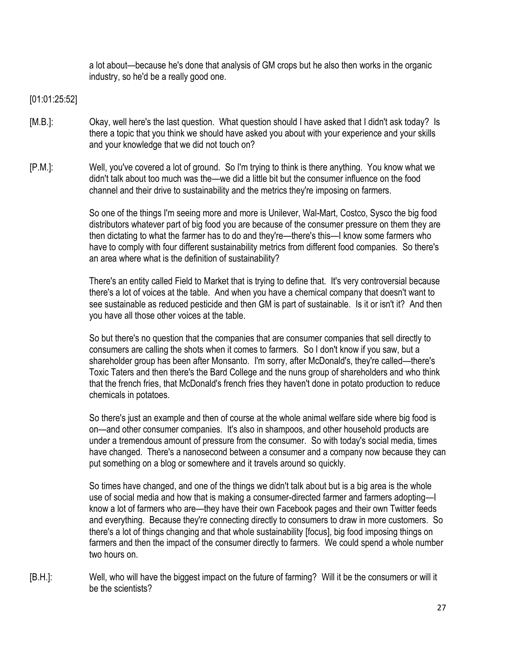a lot about—because he's done that analysis of GM crops but he also then works in the organic industry, so he'd be a really good one.

[01:01:25:52]

- [M.B.]: Okay, well here's the last question. What question should I have asked that I didn't ask today? Is there a topic that you think we should have asked you about with your experience and your skills and your knowledge that we did not touch on?
- [P.M.]: Well, you've covered a lot of ground. So I'm trying to think is there anything. You know what we didn't talk about too much was the—we did a little bit but the consumer influence on the food channel and their drive to sustainability and the metrics they're imposing on farmers.

So one of the things I'm seeing more and more is Unilever, Wal-Mart, Costco, Sysco the big food distributors whatever part of big food you are because of the consumer pressure on them they are then dictating to what the farmer has to do and they're—there's this—I know some farmers who have to comply with four different sustainability metrics from different food companies. So there's an area where what is the definition of sustainability?

There's an entity called Field to Market that is trying to define that. It's very controversial because there's a lot of voices at the table. And when you have a chemical company that doesn't want to see sustainable as reduced pesticide and then GM is part of sustainable. Is it or isn't it? And then you have all those other voices at the table.

So but there's no question that the companies that are consumer companies that sell directly to consumers are calling the shots when it comes to farmers. So I don't know if you saw, but a shareholder group has been after Monsanto. I'm sorry, after McDonald's, they're called—there's Toxic Taters and then there's the Bard College and the nuns group of shareholders and who think that the french fries, that McDonald's french fries they haven't done in potato production to reduce chemicals in potatoes.

So there's just an example and then of course at the whole animal welfare side where big food is on—and other consumer companies. It's also in shampoos, and other household products are under a tremendous amount of pressure from the consumer. So with today's social media, times have changed. There's a nanosecond between a consumer and a company now because they can put something on a blog or somewhere and it travels around so quickly.

So times have changed, and one of the things we didn't talk about but is a big area is the whole use of social media and how that is making a consumer-directed farmer and farmers adopting—I know a lot of farmers who are—they have their own Facebook pages and their own Twitter feeds and everything. Because they're connecting directly to consumers to draw in more customers. So there's a lot of things changing and that whole sustainability [focus], big food imposing things on farmers and then the impact of the consumer directly to farmers. We could spend a whole number two hours on.

[B.H.]: Well, who will have the biggest impact on the future of farming? Will it be the consumers or will it be the scientists?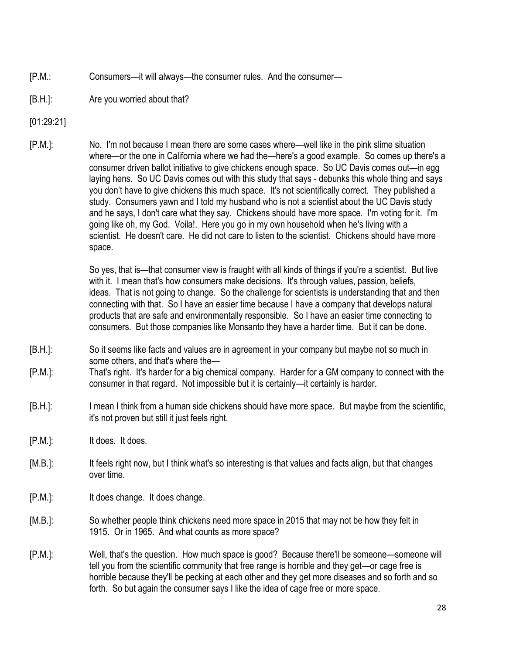- [P.M.: Consumers—it will always—the consumer rules. And the consumer—
- [B.H.]: Are you worried about that?
- [01:29:21]
- [P.M.]: No. I'm not because I mean there are some cases where—well like in the pink slime situation where—or the one in California where we had the—here's a good example. So comes up there's a consumer driven ballot initiative to give chickens enough space. So UC Davis comes out—in egg laying hens. So UC Davis comes out with this study that says - debunks this whole thing and says you don't have to give chickens this much space. It's not scientifically correct. They published a study. Consumers yawn and I told my husband who is not a scientist about the UC Davis study and he says, I don't care what they say. Chickens should have more space. I'm voting for it. I'm going like oh, my God. Voila!. Here you go in my own household when he's living with a scientist. He doesn't care. He did not care to listen to the scientist. Chickens should have more space.

So yes, that is—that consumer view is fraught with all kinds of things if you're a scientist. But live with it. I mean that's how consumers make decisions. It's through values, passion, beliefs, ideas. That is not going to change. So the challenge for scientists is understanding that and then connecting with that. So I have an easier time because I have a company that develops natural products that are safe and environmentally responsible. So I have an easier time connecting to consumers. But those companies like Monsanto they have a harder time. But it can be done.

- [B.H.]: So it seems like facts and values are in agreement in your company but maybe not so much in some others, and that's where the—
- [P.M.]: That's right. It's harder for a big chemical company. Harder for a GM company to connect with the consumer in that regard. Not impossible but it is certainly—it certainly is harder.
- [B.H.]: I mean I think from a human side chickens should have more space. But maybe from the scientific, it's not proven but still it just feels right.
- [P.M.]: It does. It does.
- [M.B.]: It feels right now, but I think what's so interesting is that values and facts align, but that changes over time.
- [P.M.]: It does change. It does change.
- [M.B.]: So whether people think chickens need more space in 2015 that may not be how they felt in 1915. Or in 1965. And what counts as more space?
- [P.M.]: Well, that's the question. How much space is good? Because there'll be someone—someone will tell you from the scientific community that free range is horrible and they get—or cage free is horrible because they'll be pecking at each other and they get more diseases and so forth and so forth. So but again the consumer says I like the idea of cage free or more space.